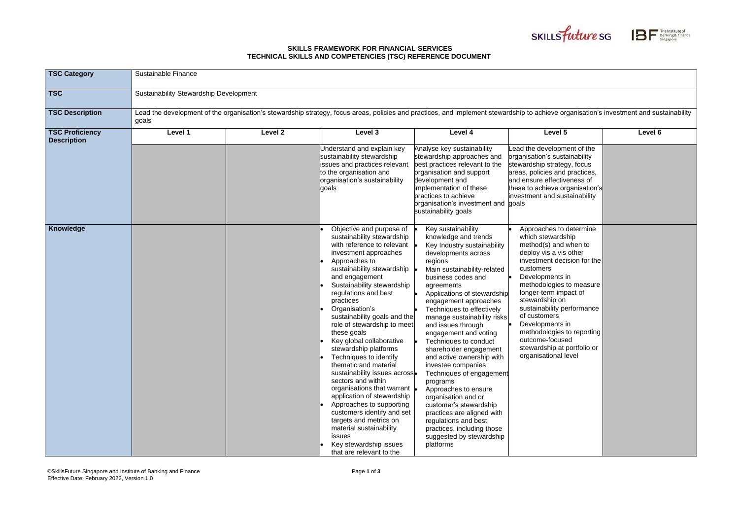## **SKILLS FRAMEWORK FOR FINANCIAL SERVICES TECHNICAL SKILLS AND COMPETENCIES (TSC) REFERENCE DOCUMENT**





| organisation's investment and sustainability |  |  |  |
|----------------------------------------------|--|--|--|
|----------------------------------------------|--|--|--|

| <b>TSC Category</b>                          | Sustainable Finance                    |                    |                                                                                                                                                                                                                                                                                                                                                                                                                                                                                                                                                                                                                                                                                                                                                               |                                                                                                                                                                                                                                                                                                                                                                                                                                                                                                                                                                                                                                                                                                       |                                                                                                                                                                                                                                                                                                                                                                                                                |         |
|----------------------------------------------|----------------------------------------|--------------------|---------------------------------------------------------------------------------------------------------------------------------------------------------------------------------------------------------------------------------------------------------------------------------------------------------------------------------------------------------------------------------------------------------------------------------------------------------------------------------------------------------------------------------------------------------------------------------------------------------------------------------------------------------------------------------------------------------------------------------------------------------------|-------------------------------------------------------------------------------------------------------------------------------------------------------------------------------------------------------------------------------------------------------------------------------------------------------------------------------------------------------------------------------------------------------------------------------------------------------------------------------------------------------------------------------------------------------------------------------------------------------------------------------------------------------------------------------------------------------|----------------------------------------------------------------------------------------------------------------------------------------------------------------------------------------------------------------------------------------------------------------------------------------------------------------------------------------------------------------------------------------------------------------|---------|
| <b>TSC</b>                                   | Sustainability Stewardship Development |                    |                                                                                                                                                                                                                                                                                                                                                                                                                                                                                                                                                                                                                                                                                                                                                               |                                                                                                                                                                                                                                                                                                                                                                                                                                                                                                                                                                                                                                                                                                       |                                                                                                                                                                                                                                                                                                                                                                                                                |         |
| <b>TSC Description</b>                       | goals                                  |                    | Lead the development of the organisation's stewardship strategy, focus areas, policies and practices, and implement stewardship to achieve organisation's investment and sustainability                                                                                                                                                                                                                                                                                                                                                                                                                                                                                                                                                                       |                                                                                                                                                                                                                                                                                                                                                                                                                                                                                                                                                                                                                                                                                                       |                                                                                                                                                                                                                                                                                                                                                                                                                |         |
| <b>TSC Proficiency</b><br><b>Description</b> | Level 1                                | Level <sub>2</sub> | Level 3                                                                                                                                                                                                                                                                                                                                                                                                                                                                                                                                                                                                                                                                                                                                                       | Level 4                                                                                                                                                                                                                                                                                                                                                                                                                                                                                                                                                                                                                                                                                               | Level 5                                                                                                                                                                                                                                                                                                                                                                                                        | Level 6 |
|                                              |                                        |                    | Understand and explain key<br>sustainability stewardship<br>issues and practices relevant<br>to the organisation and<br>organisation's sustainability<br><b>goals</b>                                                                                                                                                                                                                                                                                                                                                                                                                                                                                                                                                                                         | Analyse key sustainability<br>stewardship approaches and<br>best practices relevant to the<br>organisation and support<br>development and<br>implementation of these<br>practices to achieve<br>organisation's investment and goals<br>sustainability goals                                                                                                                                                                                                                                                                                                                                                                                                                                           | ead the development of the<br>organisation's sustainability<br>stewardship strategy, focus<br>areas, policies and practices,<br>and ensure effectiveness of<br>these to achieve organisation's<br>investment and sustainability                                                                                                                                                                                |         |
| <b>Knowledge</b>                             |                                        |                    | Objective and purpose of<br>sustainability stewardship<br>with reference to relevant<br>investment approaches<br>Approaches to<br>sustainability stewardship<br>and engagement<br>Sustainability stewardship<br>regulations and best<br>practices<br>Organisation's<br>sustainability goals and the<br>role of stewardship to meet<br>these goals<br>Key global collaborative<br>stewardship platforms<br>Techniques to identify<br>thematic and material<br>sustainability issues across.<br>sectors and within<br>organisations that warrant  <br>application of stewardship<br>Approaches to supporting<br>customers identify and set<br>targets and metrics on<br>material sustainability<br>issues<br>Key stewardship issues<br>that are relevant to the | Key sustainability<br>knowledge and trends<br>Key Industry sustainability<br>developments across<br>regions<br>Main sustainability-related<br>business codes and<br>agreements<br>Applications of stewardship<br>engagement approaches<br>Techniques to effectively<br>manage sustainability risks<br>and issues through<br>engagement and voting<br>Techniques to conduct<br>shareholder engagement<br>and active ownership with<br>investee companies<br>Techniques of engagement<br>programs<br>Approaches to ensure<br>organisation and or<br>customer's stewardship<br>practices are aligned with<br>regulations and best<br>practices, including those<br>suggested by stewardship<br>platforms | Approaches to determine<br>which stewardship<br>method(s) and when to<br>deploy vis a vis other<br>investment decision for the<br>customers<br>Developments in<br>methodologies to measure<br>longer-term impact of<br>stewardship on<br>sustainability performance<br>of customers<br>Developments in<br>methodologies to reporting<br>outcome-focused<br>stewardship at portfolio or<br>organisational level |         |

| Level 5                                                                                                                                                                                                                                                                                                                                                                                                        | Level 6 |
|----------------------------------------------------------------------------------------------------------------------------------------------------------------------------------------------------------------------------------------------------------------------------------------------------------------------------------------------------------------------------------------------------------------|---------|
| d the development of the<br>anisation's sustainability<br>vardship strategy, focus<br>as, policies and practices,<br>ensure effectiveness of<br>se to achieve organisation's<br>stment and sustainability<br>ls                                                                                                                                                                                                |         |
| Approaches to determine<br>which stewardship<br>method(s) and when to<br>deploy vis a vis other<br>investment decision for the<br>customers<br>Developments in<br>methodologies to measure<br>longer-term impact of<br>stewardship on<br>sustainability performance<br>of customers<br>Developments in<br>methodologies to reporting<br>outcome-focused<br>stewardship at portfolio or<br>organisational level |         |
|                                                                                                                                                                                                                                                                                                                                                                                                                |         |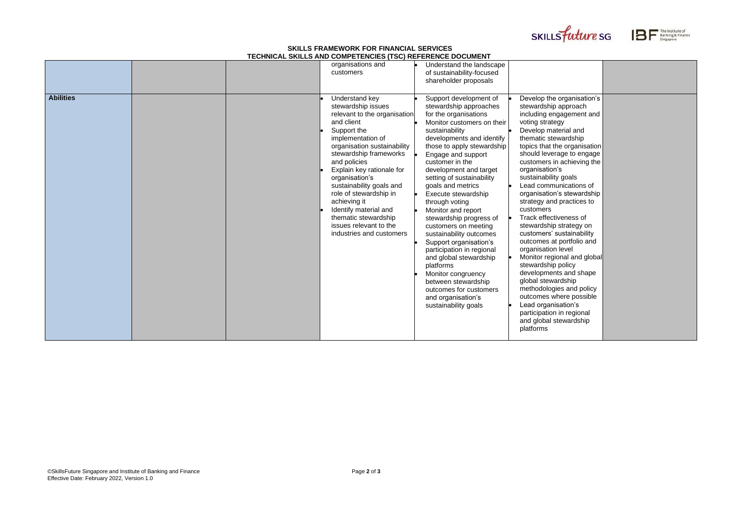## **SKILLS FRAMEWORK FOR FINANCIAL SERVICES TECHNICAL SKILLS AND COMPETENCIES (TSC) REFERENCE DOCUMENT**





|                  |  | organisations and<br>customers                                                                                                                                                                                                                                                                                                                                                                                              | Understand the landscape<br>of sustainability-focused<br>shareholder proposals                                                                                                                                                                                                                                                                                                                                                                                                                                                                                                                                                                                            |                                                                                                                                                                                                                                                                                                                                                                                                                                                                                                                                                                                                                                                                                                                                                                                      |  |
|------------------|--|-----------------------------------------------------------------------------------------------------------------------------------------------------------------------------------------------------------------------------------------------------------------------------------------------------------------------------------------------------------------------------------------------------------------------------|---------------------------------------------------------------------------------------------------------------------------------------------------------------------------------------------------------------------------------------------------------------------------------------------------------------------------------------------------------------------------------------------------------------------------------------------------------------------------------------------------------------------------------------------------------------------------------------------------------------------------------------------------------------------------|--------------------------------------------------------------------------------------------------------------------------------------------------------------------------------------------------------------------------------------------------------------------------------------------------------------------------------------------------------------------------------------------------------------------------------------------------------------------------------------------------------------------------------------------------------------------------------------------------------------------------------------------------------------------------------------------------------------------------------------------------------------------------------------|--|
| <b>Abilities</b> |  | Understand key<br>stewardship issues<br>relevant to the organisation<br>and client<br>Support the<br>implementation of<br>organisation sustainability<br>stewardship frameworks<br>and policies<br>Explain key rationale for<br>organisation's<br>sustainability goals and<br>role of stewardship in<br>achieving it<br>Identify material and<br>thematic stewardship<br>issues relevant to the<br>industries and customers | Support development of<br>stewardship approaches<br>for the organisations<br>Monitor customers on their<br>sustainability<br>developments and identify<br>those to apply stewardship<br>Engage and support<br>customer in the<br>development and target<br>setting of sustainability<br>goals and metrics<br>Execute stewardship<br>through voting<br>Monitor and report<br>stewardship progress of<br>customers on meeting<br>sustainability outcomes<br>Support organisation's<br>participation in regional<br>and global stewardship<br>platforms<br>Monitor congruency<br>between stewardship<br>outcomes for customers<br>and organisation's<br>sustainability goals | Develop the organisation's<br>stewardship approach<br>including engagement and<br>voting strategy<br>Develop material and<br>thematic stewardship<br>topics that the organisation<br>should leverage to engage<br>customers in achieving the<br>organisation's<br>sustainability goals<br>Lead communications of<br>organisation's stewardship<br>strategy and practices to<br>customers<br>Track effectiveness of<br>stewardship strategy on<br>customers' sustainability<br>outcomes at portfolio and<br>organisation level<br>Monitor regional and global<br>stewardship policy<br>developments and shape<br>global stewardship<br>methodologies and policy<br>outcomes where possible<br>Lead organisation's<br>participation in regional<br>and global stewardship<br>platforms |  |